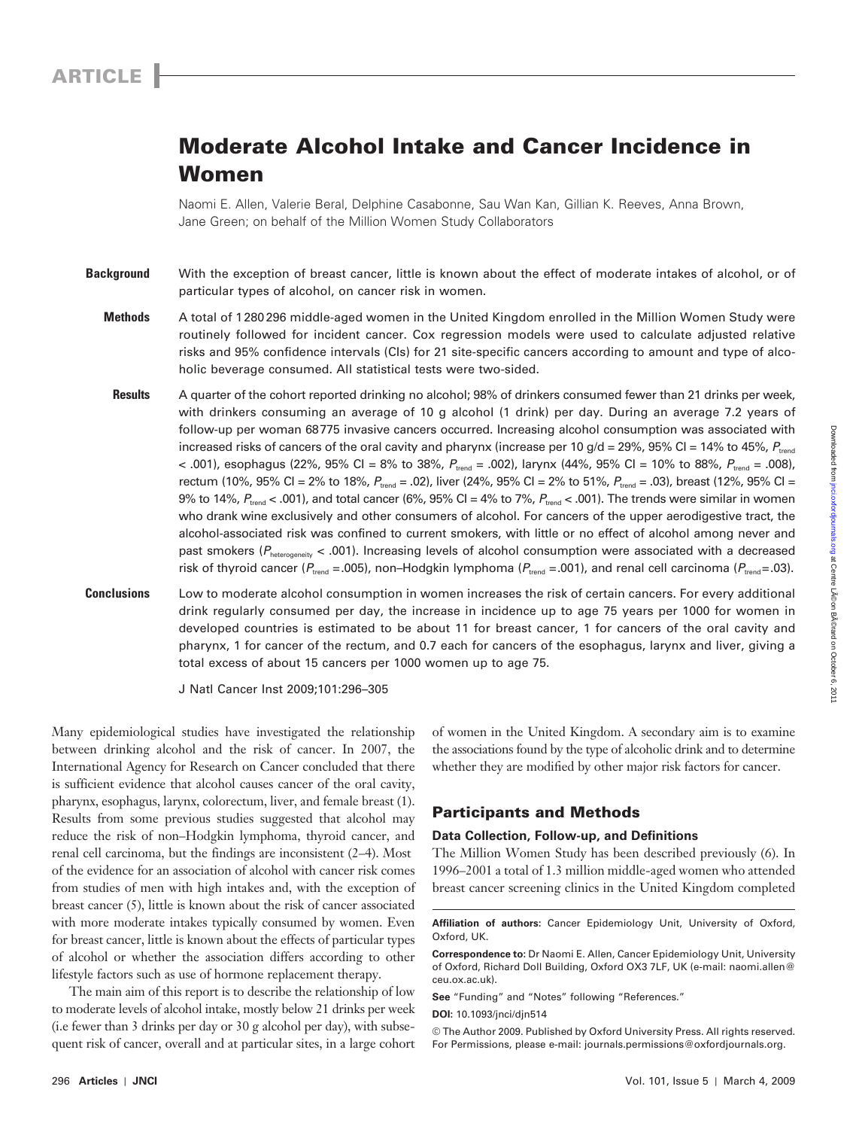# **Moderate Alcohol Intake and Cancer Incidence in Women**

Naomi E. Allen, Valerie Beral, Delphine Casabonne, Sau Wan Kan, Gillian K. Reeves, Anna Brown, Jane Green; on behalf of the Million Women Study Collaborators

 **Background** With the exception of breast cancer, little is known about the effect of moderate intakes of alcohol, or of particular types of alcohol, on cancer risk in women.

- **Methods** A total of 1 280 296 middle-aged women in the United Kingdom enrolled in the Million Women Study were routinely followed for incident cancer. Cox regression models were used to calculate adjusted relative risks and 95% confidence intervals (CIs) for 21 site-specific cancers according to amount and type of alcoholic beverage consumed. All statistical tests were two-sided.
- **Results** A quarter of the cohort reported drinking no alcohol; 98% of drinkers consumed fewer than 21 drinks per week, with drinkers consuming an average of 10 g alcohol (1 drink) per day. During an average 7.2 years of follow-up per woman 68 775 invasive cancers occurred. Increasing alcohol consumption was associated with increased risks of cancers of the oral cavity and pharynx (increase per 10 g/d = 29%, 95% CI = 14% to 45%,  $P_{\text{trend}}$ < .001), esophagus (22%, 95% CI = 8% to 38%,  $P_{\text{trend}} = .002$ ), larynx (44%, 95% CI = 10% to 88%,  $P_{\text{trend}} = .008$ ), rectum (10%, 95% Cl = 2% to 18%,  $P_{\text{trend}} = .02$ ), liver (24%, 95% Cl = 2% to 51%,  $P_{\text{trend}} = .03$ ), breast (12%, 95% Cl = 9% to 14%,  $P_{\text{trend}}$  < .001), and total cancer (6%, 95% CI = 4% to 7%,  $P_{\text{trend}}$  < .001). The trends were similar in women who drank wine exclusively and other consumers of alcohol. For cancers of the upper aerodigestive tract, the alcohol-associated risk was confined to current smokers, with little or no effect of alcohol among never and past smokers ( $P_{heterogeneity}$  < .001). Increasing levels of alcohol consumption were associated with a decreased risk of thyroid cancer ( $P_{\text{trend}} = .005$ ), non-Hodgkin lymphoma ( $P_{\text{trend}} = .001$ ), and renal cell carcinoma ( $P_{\text{trend}} = .03$ ).
- **Conclusions** Low to moderate alcohol consumption in women increases the risk of certain cancers. For every additional drink regularly consumed per day, the increase in incidence up to age 75 years per 1000 for women in developed countries is estimated to be about 11 for breast cancer, 1 for cancers of the oral cavity and pharynx, 1 for cancer of the rectum, and 0.7 each for cancers of the esophagus, larynx and liver, giving a total excess of about 15 cancers per 1000 women up to age 75.

J Natl Cancer Inst 2009;101: 296 – 305

Many epidemiological studies have investigated the relationship between drinking alcohol and the risk of cancer. In 2007, the International Agency for Research on Cancer concluded that there is sufficient evidence that alcohol causes cancer of the oral cavity, pharynx, esophagus, larynx, colorectum, liver, and female breast (1). Results from some previous studies suggested that alcohol may reduce the risk of non-Hodgkin lymphoma, thyroid cancer, and renal cell carcinoma, but the findings are inconsistent (2-4). Most of the evidence for an association of alcohol with cancer risk comes from studies of men with high intakes and, with the exception of breast cancer (5), little is known about the risk of cancer associated with more moderate intakes typically consumed by women. Even for breast cancer, little is known about the effects of particular types of alcohol or whether the association differs according to other lifestyle factors such as use of hormone replacement therapy.

The main aim of this report is to describe the relationship of low to moderate levels of alcohol intake, mostly below 21 drinks per week (i.e fewer than 3 drinks per day or 30 g alcohol per day), with subsequent risk of cancer, overall and at particular sites, in a large cohort of women in the United Kingdom. A secondary aim is to examine the associations found by the type of alcoholic drink and to determine whether they are modified by other major risk factors for cancer.

# **Participants and Methods**

# **Data Collection, Follow-up, and Definitions**

The Million Women Study has been described previously (6). In 1996 – 2001 a total of 1.3 million middle-aged women who attended breast cancer screening clinics in the United Kingdom completed

**Affiliation of authors:** Cancer Epidemiology Unit, University of Oxford, Oxford, UK.

**Correspondence to:** Dr Naomi E. Allen, Cancer Epidemiology Unit, University of Oxford, Richard Doll Building, Oxford OX3 7LF, UK (e-mail: naomi.allen@ ceu.ox.ac.uk ).

**See** "Funding" and "Notes" following "References."

**DOI:** 10.1093/jnci/djn514

<sup>©</sup> The Author 2009. Published by Oxford University Press. All rights reserved. For Permissions, please e-mail: journals.permissions@oxfordjournals.org.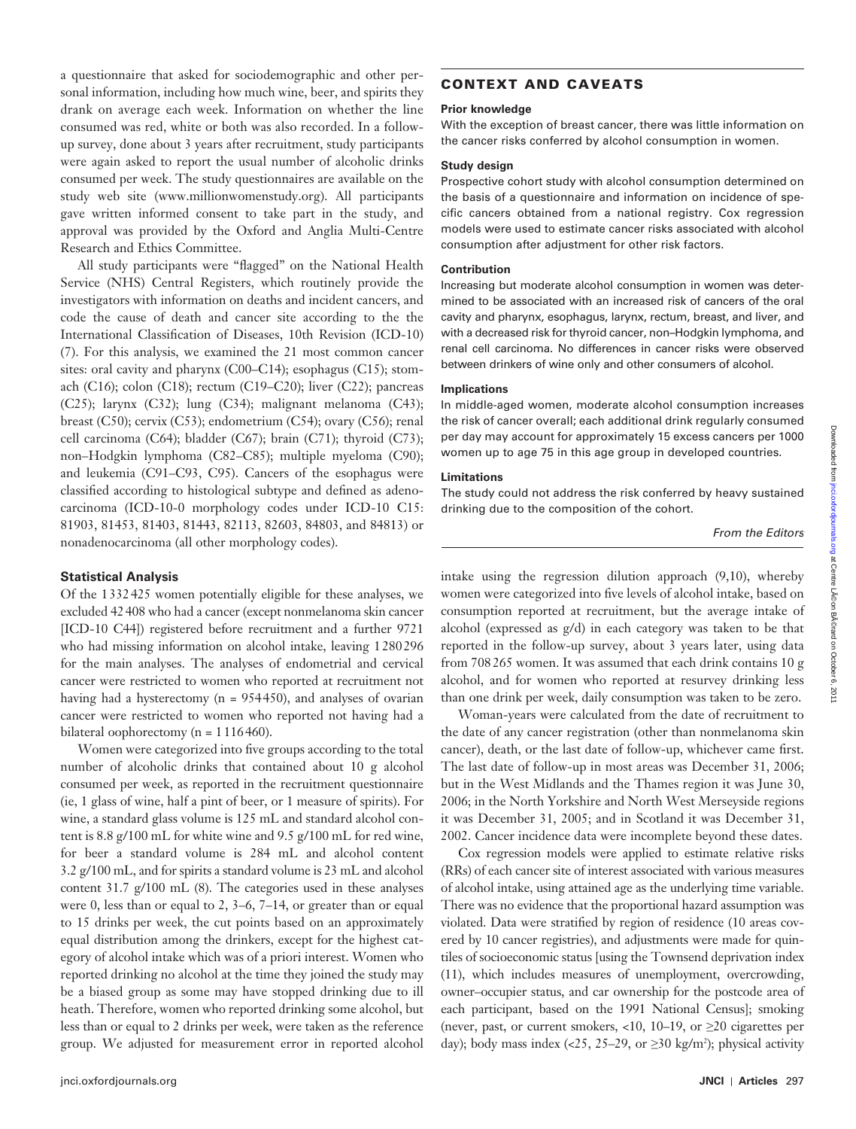a questionnaire that asked for sociodemographic and other personal information, including how much wine, beer, and spirits they drank on average each week. Information on whether the line consumed was red, white or both was also recorded. In a followup survey, done about 3 years after recruitment, study participants were again asked to report the usual number of alcoholic drinks consumed per week. The study questionnaires are available on the study web site (www.millionwomenstudy.org). All participants gave written informed consent to take part in the study, and approval was provided by the Oxford and Anglia Multi-Centre Research and Ethics Committee.

All study participants were "flagged" on the National Health Service (NHS) Central Registers, which routinely provide the investigators with information on deaths and incident cancers, and code the cause of death and cancer site according to the the International Classification of Diseases, 10th Revision (ICD-10) (7). For this analysis, we examined the 21 most common cancer sites: oral cavity and pharynx (C00-C14); esophagus (C15); stomach (C16); colon (C18); rectum (C19–C20); liver (C22); pancreas (C25); larynx (C32); lung (C34); malignant melanoma (C43); breast (C50); cervix (C53); endometrium (C54); ovary (C56); renal cell carcinoma (C64); bladder (C67); brain (C71); thyroid (C73); non-Hodgkin lymphoma (C82-C85); multiple myeloma (C90); and leukemia (C91–C93, C95). Cancers of the esophagus were classified according to histological subtype and defined as adenocarcinoma (ICD-10-0 morphology codes under ICD-10 C15: 81903, 81453, 81403, 81443, 82113, 82603, 84803, and 84813) or nonadenocarcinoma (all other morphology codes).

### **Statistical Analysis**

Of the 1 332 425 women potentially eligible for these analyses, we excluded 42 408 who had a cancer (except nonmelanoma skin cancer [ICD-10 C44]) registered before recruitment and a further 9721 who had missing information on alcohol intake, leaving 1 280 296 for the main analyses. The analyses of endometrial and cervical cancer were restricted to women who reported at recruitment not having had a hysterectomy ( $n = 954450$ ), and analyses of ovarian cancer were restricted to women who reported not having had a bilateral oophorectomy ( $n = 1116460$ ).

Women were categorized into five groups according to the total number of alcoholic drinks that contained about 10 g alcohol consumed per week, as reported in the recruitment questionnaire (ie, 1 glass of wine, half a pint of beer, or 1 measure of spirits). For wine, a standard glass volume is 125 mL and standard alcohol content is 8.8 g/100 mL for white wine and 9.5 g/100 mL for red wine, for beer a standard volume is 284 mL and alcohol content 3.2 g/100 mL, and for spirits a standard volume is 23 mL and alcohol content  $31.7$  g/100 mL (8). The categories used in these analyses were 0, less than or equal to 2,  $3-6$ ,  $7-14$ , or greater than or equal to 15 drinks per week, the cut points based on an approximately equal distribution among the drinkers, except for the highest category of alcohol intake which was of a priori interest. Women who reported drinking no alcohol at the time they joined the study may be a biased group as some may have stopped drinking due to ill heath. Therefore, women who reported drinking some alcohol, but less than or equal to 2 drinks per week, were taken as the reference group. We adjusted for measurement error in reported alcohol

# **CONTEXT AND CAVEATS**

# **Prior knowledge**

With the exception of breast cancer, there was little information on the cancer risks conferred by alcohol consumption in women.

# **Study design**

Prospective cohort study with alcohol consumption determined on the basis of a questionnaire and information on incidence of specific cancers obtained from a national registry. Cox regression models were used to estimate cancer risks associated with alcohol consumption after adjustment for other risk factors.

#### **Contribution**

Increasing but moderate alcohol consumption in women was determined to be associated with an increased risk of cancers of the oral cavity and pharynx, esophagus, larynx, rectum, breast, and liver, and with a decreased risk for thyroid cancer, non-Hodgkin lymphoma, and renal cell carcinoma. No differences in cancer risks were observed between drinkers of wine only and other consumers of alcohol.

#### **Implications**

In middle-aged women, moderate alcohol consumption increases the risk of cancer overall; each additional drink regularly consumed per day may account for approximately 15 excess cancers per 1000 women up to age 75 in this age group in developed countries.

#### **Limitations**

The study could not address the risk conferred by heavy sustained drinking due to the composition of the cohort.

From the Editors

intake using the regression dilution approach  $(9,10)$ , whereby women were categorized into five levels of alcohol intake, based on consumption reported at recruitment, but the average intake of alcohol (expressed as g/d) in each category was taken to be that reported in the follow-up survey, about 3 years later, using data from 708 265 women. It was assumed that each drink contains 10 g alcohol, and for women who reported at resurvey drinking less than one drink per week, daily consumption was taken to be zero.

Woman-years were calculated from the date of recruitment to the date of any cancer registration (other than nonmelanoma skin cancer), death, or the last date of follow-up, whichever came first. The last date of follow-up in most areas was December 31, 2006; but in the West Midlands and the Thames region it was June 30, 2006; in the North Yorkshire and North West Merseyside regions it was December 31, 2005; and in Scotland it was December 31, 2002. Cancer incidence data were incomplete beyond these dates.

Cox regression models were applied to estimate relative risks (RRs) of each cancer site of interest associated with various measures of alcohol intake, using attained age as the underlying time variable. There was no evidence that the proportional hazard assumption was violated. Data were stratified by region of residence (10 areas covered by 10 cancer registries), and adjustments were made for quintiles of socioeconomic status [using the Townsend deprivation index ( 11 ), which includes measures of unemployment, overcrowding, owner – occupier status, and car ownership for the postcode area of each participant, based on the 1991 National Census]; smoking (never, past, or current smokers, <10, 10–19, or  $\geq$ 20 cigarettes per day); body mass index (<25, 25–29, or  $\geq$ 30 kg/m<sup>2</sup>); physical activity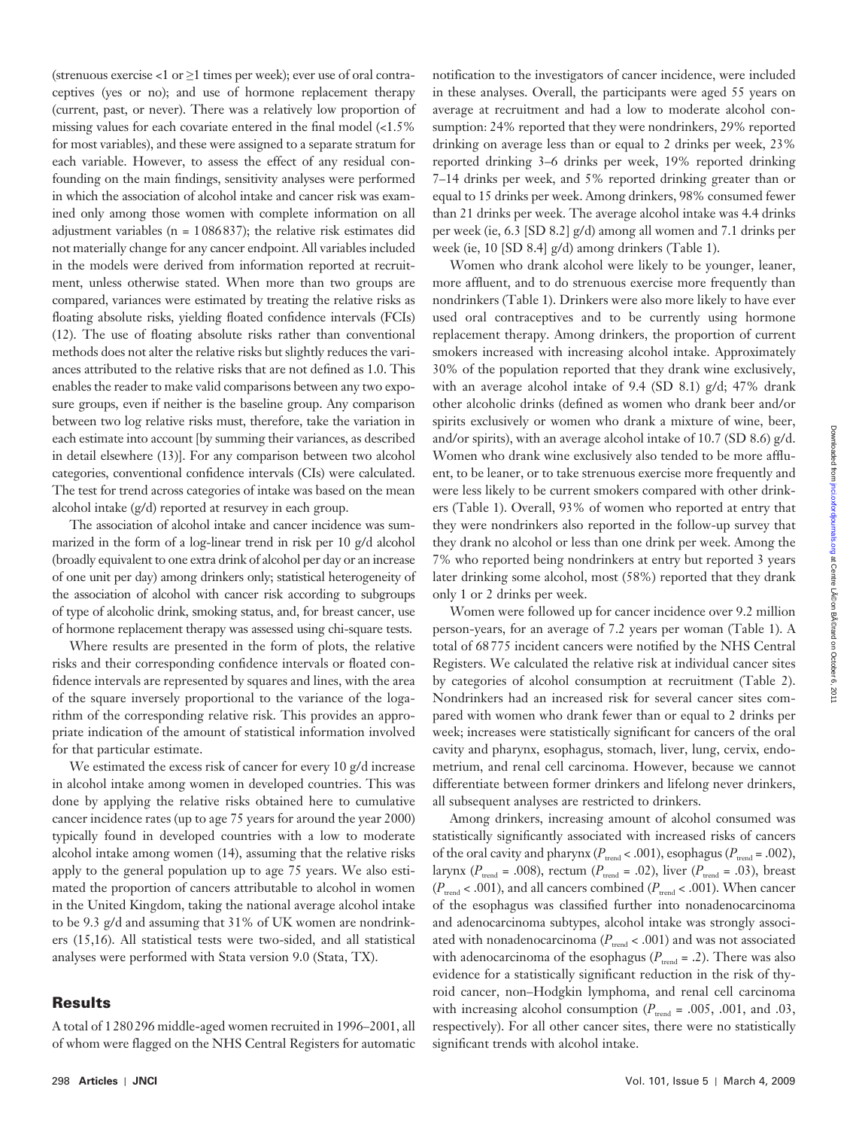Downloaded from jnci.oxfordjournals.org at Centre Léon BĂ©rard on October 6, 201 Downloaded from [jnci.oxfordjournals.org](http://jnci.oxfordjournals.org/) at Centre LA©on BA©rard on October 6, 2011

(strenuous exercise <1 or  $\geq$ 1 times per week); ever use of oral contraceptives (yes or no); and use of hormone replacement therapy (current, past, or never). There was a relatively low proportion of missing values for each covariate entered in the final model  $\langle$ <1.5% for most variables), and these were assigned to a separate stratum for each variable. However, to assess the effect of any residual confounding on the main findings, sensitivity analyses were performed in which the association of alcohol intake and cancer risk was examined only among those women with complete information on all adjustment variables ( $n = 1086837$ ); the relative risk estimates did not materially change for any cancer endpoint. All variables included in the models were derived from information reported at recruitment, unless otherwise stated. When more than two groups are compared, variances were estimated by treating the relative risks as floating absolute risks, yielding floated confidence intervals (FCIs)  $(12)$ . The use of floating absolute risks rather than conventional methods does not alter the relative risks but slightly reduces the variances attributed to the relative risks that are not defined as 1.0. This enables the reader to make valid comparisons between any two exposure groups, even if neither is the baseline group. Any comparison between two log relative risks must, therefore, take the variation in each estimate into account [by summing their variances, as described in detail elsewhere (13)]. For any comparison between two alcohol categories, conventional confidence intervals (CIs) were calculated. The test for trend across categories of intake was based on the mean alcohol intake (g/d) reported at resurvey in each group.

The association of alcohol intake and cancer incidence was summarized in the form of a log-linear trend in risk per 10 g/d alcohol (broadly equivalent to one extra drink of alcohol per day or an increase of one unit per day) among drinkers only; statistical heterogeneity of the association of alcohol with cancer risk according to subgroups of type of alcoholic drink, smoking status, and, for breast cancer, use of hormone replacement therapy was assessed using chi-square tests.

Where results are presented in the form of plots, the relative risks and their corresponding confidence intervals or floated confidence intervals are represented by squares and lines, with the area of the square inversely proportional to the variance of the logarithm of the corresponding relative risk. This provides an appropriate indication of the amount of statistical information involved for that particular estimate.

We estimated the excess risk of cancer for every 10 g/d increase in alcohol intake among women in developed countries. This was done by applying the relative risks obtained here to cumulative cancer incidence rates (up to age 75 years for around the year 2000) typically found in developed countries with a low to moderate alcohol intake among women (14), assuming that the relative risks apply to the general population up to age 75 years. We also estimated the proportion of cancers attributable to alcohol in women in the United Kingdom, taking the national average alcohol intake to be 9.3 g/d and assuming that 31% of UK women are nondrinkers (15,16). All statistical tests were two-sided, and all statistical analyses were performed with Stata version 9.0 (Stata, TX).

# **Results**

A total of 1280296 middle-aged women recruited in 1996-2001, all of whom were flagged on the NHS Central Registers for automatic

notification to the investigators of cancer incidence, were included in these analyses. Overall, the participants were aged 55 years on average at recruitment and had a low to moderate alcohol consumption: 24% reported that they were nondrinkers, 29% reported drinking on average less than or equal to 2 drinks per week, 23% reported drinking 3–6 drinks per week, 19% reported drinking 7 – 14 drinks per week, and 5% reported drinking greater than or equal to 15 drinks per week. Among drinkers, 98% consumed fewer than 21 drinks per week. The average alcohol intake was 4.4 drinks per week (ie, 6.3 [SD 8.2] g/d) among all women and 7.1 drinks per week (ie, 10 [SD 8.4]  $g/d$ ) among drinkers (Table 1).

Women who drank alcohol were likely to be younger, leaner, more affluent, and to do strenuous exercise more frequently than nondrinkers (Table 1). Drinkers were also more likely to have ever used oral contraceptives and to be currently using hormone replacement therapy. Among drinkers, the proportion of current smokers increased with increasing alcohol intake. Approximately 30% of the population reported that they drank wine exclusively, with an average alcohol intake of 9.4 (SD 8.1) g/d; 47% drank other alcoholic drinks (defined as women who drank beer and/or spirits exclusively or women who drank a mixture of wine, beer, and/or spirits), with an average alcohol intake of 10.7 (SD 8.6) g/d. Women who drank wine exclusively also tended to be more affluent, to be leaner, or to take strenuous exercise more frequently and were less likely to be current smokers compared with other drinkers (Table 1). Overall, 93% of women who reported at entry that they were nondrinkers also reported in the follow-up survey that they drank no alcohol or less than one drink per week. Among the 7% who reported being nondrinkers at entry but reported 3 years later drinking some alcohol, most (58%) reported that they drank only 1 or 2 drinks per week.

Women were followed up for cancer incidence over 9.2 million person-years, for an average of 7.2 years per woman (Table 1). A total of 68775 incident cancers were notified by the NHS Central Registers. We calculated the relative risk at individual cancer sites by categories of alcohol consumption at recruitment (Table 2). Nondrinkers had an increased risk for several cancer sites compared with women who drank fewer than or equal to 2 drinks per week; increases were statistically significant for cancers of the oral cavity and pharynx, esophagus, stomach, liver, lung, cervix, endometrium, and renal cell carcinoma. However, because we cannot differentiate between former drinkers and lifelong never drinkers, all subsequent analyses are restricted to drinkers.

Among drinkers, increasing amount of alcohol consumed was statistically significantly associated with increased risks of cancers of the oral cavity and pharynx ( $P_{\text{trend}} < .001$ ), esophagus ( $P_{\text{trend}} = .002$ ), larynx ( $P_{\text{trend}}$  = .008), rectum ( $P_{\text{trend}}$  = .02), liver ( $P_{\text{trend}}$  = .03), breast  $(P_{\text{trend}} < .001)$ , and all cancers combined ( $P_{\text{trend}} < .001$ ). When cancer of the esophagus was classified further into nonadenocarcinoma and adenocarcinoma subtypes, alcohol intake was strongly associated with nonadenocarcinoma ( $P_{\text{trend}} < .001$ ) and was not associated with adenocarcinoma of the esophagus ( $P_{\text{trend}} = .2$ ). There was also evidence for a statistically significant reduction in the risk of thyroid cancer, non – Hodgkin lymphoma, and renal cell carcinoma with increasing alcohol consumption ( $P_{\text{trend}} = .005$ , .001, and .03, respectively). For all other cancer sites, there were no statistically significant trends with alcohol intake.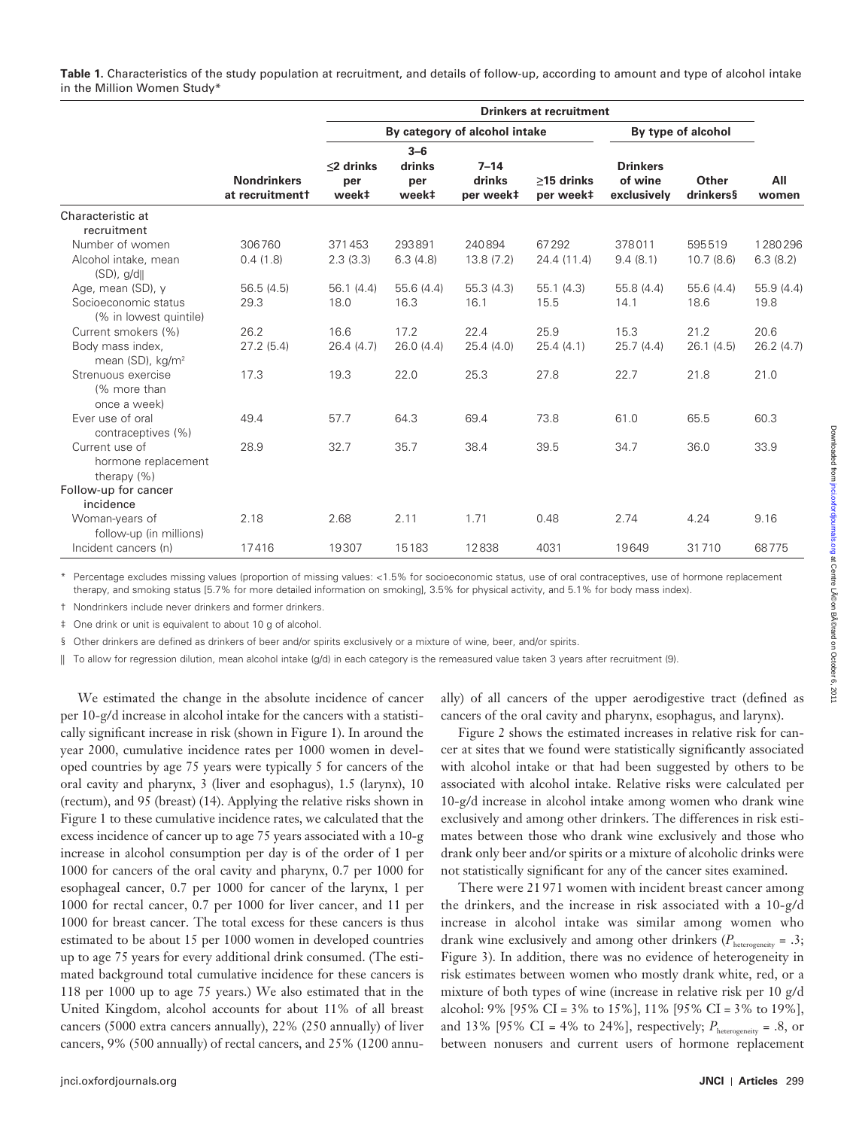**Table 1.** Characteristics of the study population at recruitment, and details of follow-up, according to amount and type of alcohol intake in the Million Women Study\*

|                                                        |                                       | <b>Drinkers at recruitment</b> |                                   |                                 |                         |                                           |                    |              |
|--------------------------------------------------------|---------------------------------------|--------------------------------|-----------------------------------|---------------------------------|-------------------------|-------------------------------------------|--------------------|--------------|
|                                                        |                                       | By category of alcohol intake  |                                   |                                 |                         | By type of alcohol                        |                    |              |
|                                                        | <b>Nondrinkers</b><br>at recruitmentt | $<$ 2 drinks<br>per<br>week‡   | $3 - 6$<br>drinks<br>per<br>week‡ | $7 - 14$<br>drinks<br>per week‡ | >15 drinks<br>per week‡ | <b>Drinkers</b><br>of wine<br>exclusively | Other<br>drinkers§ | All<br>women |
| Characteristic at                                      |                                       |                                |                                   |                                 |                         |                                           |                    |              |
| recruitment                                            |                                       |                                |                                   |                                 |                         |                                           |                    |              |
| Number of women                                        | 306760                                | 371453                         | 293891                            | 240894                          | 67292                   | 378011                                    | 595519             | 1280296      |
| Alcohol intake, mean<br>$(SD)$ , $g/d$                 | 0.4(1.8)                              | 2.3(3.3)                       | 6.3(4.8)                          | 13.8(7.2)                       | 24.4 (11.4)             | 9.4(8.1)                                  | 10.7(8.6)          | 6.3(8.2)     |
| Age, mean (SD), y                                      | 56.5(4.5)                             | 56.1(4.4)                      | 55.6 (4.4)                        | 55.3(4.3)                       | 55.1(4.3)               | 55.8 (4.4)                                | 55.6 (4.4)         | 55.9 (4.4)   |
| Socioeconomic status<br>(% in lowest quintile)         | 29.3                                  | 18.0                           | 16.3                              | 16.1                            | 15.5                    | 14.1                                      | 18.6               | 19.8         |
| Current smokers (%)                                    | 26.2                                  | 16.6                           | 17.2                              | 22.4                            | 25.9                    | 15.3                                      | 21.2               | 20.6         |
| Body mass index,<br>mean (SD), kg/m <sup>2</sup>       | 27.2(5.4)                             | 26.4(4.7)                      | 26.0(4.4)                         | 25.4(4.0)                       | 25.4(4.1)               | 25.7(4.4)                                 | 26.1(4.5)          | 26.2(4.7)    |
| Strenuous exercise<br>(% more than<br>once a week)     | 17.3                                  | 19.3                           | 22.0                              | 25.3                            | 27.8                    | 22.7                                      | 21.8               | 21.0         |
| Ever use of oral<br>contraceptives (%)                 | 49.4                                  | 57.7                           | 64.3                              | 69.4                            | 73.8                    | 61.0                                      | 65.5               | 60.3         |
| Current use of<br>hormone replacement<br>therapy $(%)$ | 28.9                                  | 32.7                           | 35.7                              | 38.4                            | 39.5                    | 34.7                                      | 36.0               | 33.9         |
| Follow-up for cancer                                   |                                       |                                |                                   |                                 |                         |                                           |                    |              |
| incidence                                              |                                       |                                |                                   |                                 |                         |                                           |                    |              |
| Woman-years of                                         | 2.18                                  | 2.68                           | 2.11                              | 1.71                            | 0.48                    | 2.74                                      | 4.24               | 9.16         |
| follow-up (in millions)                                |                                       |                                |                                   |                                 |                         |                                           |                    |              |
| Incident cancers (n)                                   | 17416                                 | 19307                          | 15183                             | 12838                           | 4031                    | 19649                                     | 31710              | 68775        |

Percentage excludes missing values (proportion of missing values: <1.5% for socioeconomic status, use of oral contraceptives, use of hormone replacement therapy, and smoking status [5.7% for more detailed information on smoking], 3.5% for physical activity, and 5.1% for body mass index).

† Nondrinkers include never drinkers and former drinkers.

‡ One drink or unit is equivalent to about 10 g of alcohol.

§ Other drinkers are defined as drinkers of beer and/or spirits exclusively or a mixture of wine, beer, and/or spirits.

|| To allow for regression dilution, mean alcohol intake (g/d) in each category is the remeasured value taken 3 years after recruitment (9).

We estimated the change in the absolute incidence of cancer per 10-g/d increase in alcohol intake for the cancers with a statistically significant increase in risk (shown in Figure 1). In around the year 2000, cumulative incidence rates per 1000 women in developed countries by age 75 years were typically 5 for cancers of the oral cavity and pharynx, 3 (liver and esophagus), 1.5 (larynx), 10 (rectum), and 95 (breast) (14). Applying the relative risks shown in Figure 1 to these cumulative incidence rates, we calculated that the excess incidence of cancer up to age 75 years associated with a 10-g increase in alcohol consumption per day is of the order of 1 per 1000 for cancers of the oral cavity and pharynx, 0.7 per 1000 for esophageal cancer, 0.7 per 1000 for cancer of the larynx, 1 per 1000 for rectal cancer, 0.7 per 1000 for liver cancer, and 11 per 1000 for breast cancer. The total excess for these cancers is thus estimated to be about 15 per 1000 women in developed countries up to age 75 years for every additional drink consumed. (The estimated background total cumulative incidence for these cancers is 118 per 1000 up to age 75 years.) We also estimated that in the United Kingdom, alcohol accounts for about 11% of all breast cancers (5000 extra cancers annually), 22% (250 annually) of liver cancers, 9% (500 annually) of rectal cancers, and 25% (1200 annu-

ally) of all cancers of the upper aerodigestive tract (defined as cancers of the oral cavity and pharynx, esophagus, and larynx).

Figure 2 shows the estimated increases in relative risk for cancer at sites that we found were statistically significantly associated with alcohol intake or that had been suggested by others to be associated with alcohol intake. Relative risks were calculated per 10-g/d increase in alcohol intake among women who drank wine exclusively and among other drinkers. The differences in risk estimates between those who drank wine exclusively and those who drank only beer and/or spirits or a mixture of alcoholic drinks were not statistically significant for any of the cancer sites examined.

There were 21 971 women with incident breast cancer among the drinkers, and the increase in risk associated with a 10-g/d increase in alcohol intake was similar among women who drank wine exclusively and among other drinkers ( $P_{\text{heterogeneity}} = .3$ ; Figure 3). In addition, there was no evidence of heterogeneity in risk estimates between women who mostly drank white, red, or a mixture of both types of wine (increase in relative risk per 10 g/d alcohol: 9% [95% CI = 3% to 15%], 11% [95% CI = 3% to 19%], and 13% [95% CI = 4% to 24%], respectively;  $P_{\text{heterogeneity}} = .8$ , or between nonusers and current users of hormone replacement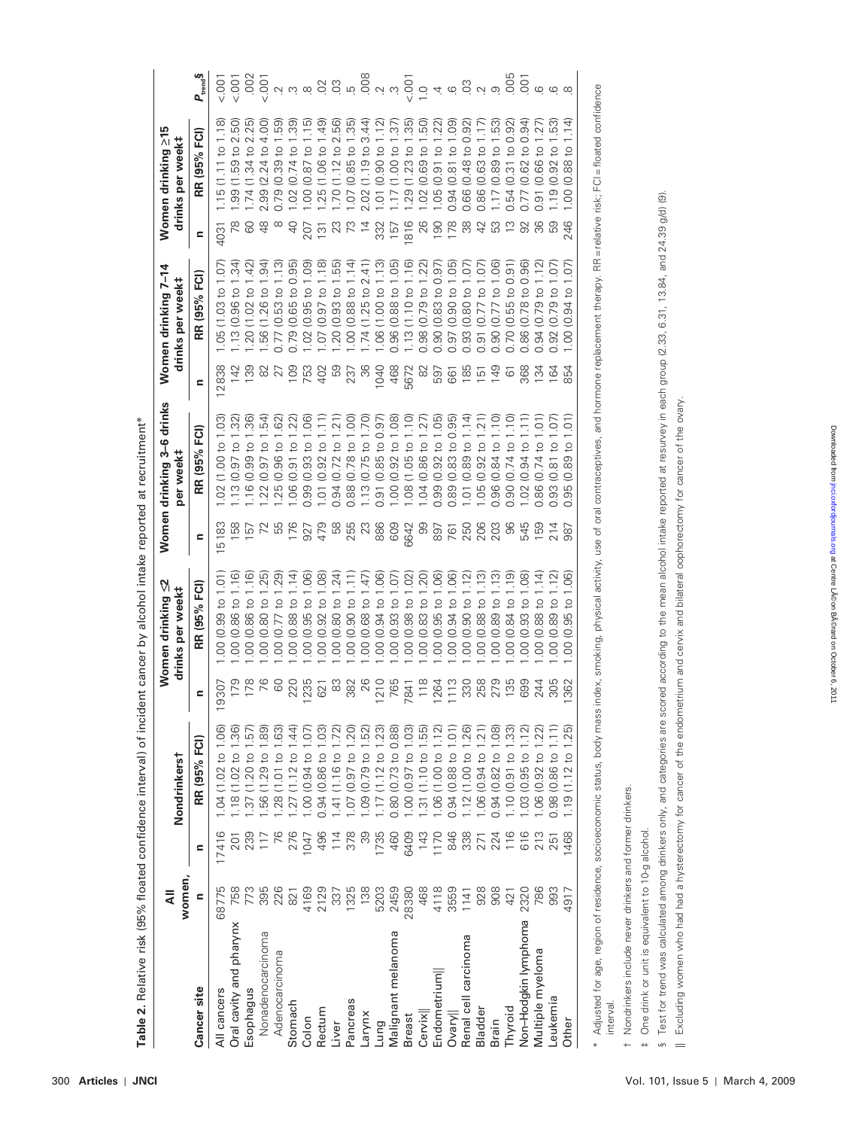|                                                                                                                                                                                                                   | women,<br>₹ |                 | Nondrinkerst        |                   | Women drinking <u>≤</u> 2<br>drinks per week#             |                | Women drinking 3-6 drinks<br>per week#               |           | Women drinking 7-14<br>drinks per week#        |                 | Women drinking ≥15<br>drinks per week#                 |                                                                                                                                                                                                                                                                                                                     |
|-------------------------------------------------------------------------------------------------------------------------------------------------------------------------------------------------------------------|-------------|-----------------|---------------------|-------------------|-----------------------------------------------------------|----------------|------------------------------------------------------|-----------|------------------------------------------------|-----------------|--------------------------------------------------------|---------------------------------------------------------------------------------------------------------------------------------------------------------------------------------------------------------------------------------------------------------------------------------------------------------------------|
| Cancer site                                                                                                                                                                                                       | Ξ           | Ξ               | RR (95% FCI)        | Ξ                 | FC1)<br>RR (95%                                           | Ξ              | RR (95% FCI)                                         | Ξ         | FC1)<br>RR (95%                                | $\mathbf{r}$    | RR (95% FCI)                                           | $P_{\text{tend}}$ §                                                                                                                                                                                                                                                                                                 |
| All cancers                                                                                                                                                                                                       | 68775       | 17416           | 1.04(1.02 to 1.06)  | 9307              | $(0.99 \text{ to } 1.01$<br>OO.                           | 5183           | 3<br>(1.00 to 1)<br>$\frac{2}{3}$                    | 12838     | 1.05(1.03 to 1.07)                             | 4031            | $\infty$<br>to 1.1<br>115(1.11)                        | $\frac{100}{2}$                                                                                                                                                                                                                                                                                                     |
| Oral cavity and pharynx                                                                                                                                                                                           | 758         | 201             | .18(1.02 to 1.36)   |                   | $\frac{16}{1}$<br>$(0.86 t0 -$<br>$\overline{\mathrm{S}}$ | 158            | $(0.97 \text{ to } 1.32)$<br>1.13                    | 142       | .13(0.96 to 1.34)                              |                 | $(1.59 \text{ to } 2.50$<br>$\frac{8}{9}$              |                                                                                                                                                                                                                                                                                                                     |
| Esophagus                                                                                                                                                                                                         | 773         | 239             | .37(1.20 to 1.57)   | $\frac{179}{178}$ | (9)<br>(0.86 t0)<br>OO.                                   | 157            | (0.99 to 7)<br>$\frac{6}{1}$                         | 139       | $\widetilde{42}$<br>.20(1.02 to                | 80              | to 2.25<br>(1.34)<br>1.74                              |                                                                                                                                                                                                                                                                                                                     |
| Nonadenocarcinoma                                                                                                                                                                                                 | 395         | 117             | .56 (1.29 to 1.89)  |                   | 1.25<br>(0.80 to 1)<br>OO.                                |                | 54)<br>$(0.97 \text{ to } 1)$<br>122                 | 82        | $\overline{1.94}$<br>1.56 (1.26 to             |                 | $(2.24 \text{ to } 4.$<br>2.99                         |                                                                                                                                                                                                                                                                                                                     |
| Adenocarcinoma                                                                                                                                                                                                    | 226         |                 | 28 (1.01 to 1.63    | 60                | $(0.77 \text{ to } 1.29)$<br>OO.                          |                | (0.96 t0 1<br>1.25                                   | 27        | (0.53)<br>0.77                                 |                 | 59)<br>$(0.39 \text{ to } 1)$                          |                                                                                                                                                                                                                                                                                                                     |
| Stomach                                                                                                                                                                                                           | 821         | 276             | 27 (1.12 to 1.44    | 220               | $(0.88 \text{ to } 1.14)$<br>$\overline{0}$               | 176            | (0.91 to 1)<br>0.06                                  | 109       | $(0.65 \text{ to } 0.95)$<br>0.79              | 9               | $(0.74 \text{ to } 1.39)$<br>$\approx$                 |                                                                                                                                                                                                                                                                                                                     |
| Colon                                                                                                                                                                                                             | 4169        | 047             | 1.00 (0.94 to 1.07  | 235               | $(0.95 \text{ to } 1.06)$<br>$\overline{S}$               | 927            | $(0.93 \text{ to } 1.06)$<br>0.99                    | 753       | $(0.95 \text{ to } 1.09)$<br>$\approx$         | 207             | $(0.87 \text{ to } 1.15)$<br>0.00                      | $\frac{1}{2}$ $\frac{1}{2}$ $\frac{1}{2}$ $\frac{1}{2}$ $\frac{1}{2}$ $\frac{1}{2}$ $\frac{1}{2}$ $\frac{1}{2}$ $\frac{1}{2}$ $\frac{1}{2}$ $\frac{1}{2}$ $\frac{1}{2}$ $\frac{1}{2}$ $\frac{1}{2}$ $\frac{1}{2}$ $\frac{1}{2}$ $\frac{1}{2}$ $\frac{1}{2}$ $\frac{1}{2}$ $\frac{1}{2}$ $\frac{1}{2}$ $\frac{1}{2}$ |
| Rectum                                                                                                                                                                                                            | 2129        | 496             | 0.94 (0.86 to 1.03  | 621               | $\overline{0}$<br>$(0.92 \text{ to}^{-1})$<br>OO.         | 479            | (0.92 to 1)<br>1.01                                  | 402       | $\frac{1}{2}$<br>$.07(0.97)$ to                | $\overline{5}$  | (1.06 to 1.49)<br>25                                   |                                                                                                                                                                                                                                                                                                                     |
| Liver                                                                                                                                                                                                             | 337         | 114             | .41 (1.16 to 1.72)  | 83                | $(0.80 \text{ to } 1.24)$<br>$\overline{S}$               | 69             | $(0.72 \text{ to } 1)$<br>0.94                       | 59        | 1.55)<br>.20(0.93 to                           | 23              | $(1.12 \text{ to } 2.56)$<br>$-70$                     |                                                                                                                                                                                                                                                                                                                     |
| ancreas                                                                                                                                                                                                           | 1325        | 378             | 1.07(0.97 to 1.20   | 382               | (0.90 to <sup>1</sup> )<br>OO.                            | 255            | $(0.78 \text{ to } 1)$<br>0.88                       | 237       | $\overline{4}$<br>1.00 (0.88 to                | 73              | $(0.85 \text{ to } 1.35)$<br>1.07                      |                                                                                                                                                                                                                                                                                                                     |
| xu/ue-                                                                                                                                                                                                            | 138         | တ္တ             | 1.09 (0.79 to 1.52  | 26                | (0.68 to 1.47<br>$\overline{0}$                           | $\mathbb{S}^2$ | $(0.75 \text{ to } 1.70)$<br>1.13                    | 36        | 2.41)<br>.74(1.25 to                           |                 | $(1.19)$ to 3.44<br>2.02                               |                                                                                                                                                                                                                                                                                                                     |
| Lung                                                                                                                                                                                                              | 5203        | 1735            | $17(1.12$ to $1.23$ |                   | $(0.94 \text{ to } 1.06)$<br>$\overline{0}$               | 886            | (0.85 to 0.97<br>0.91                                | 1040      | $\frac{1}{3}$<br>1.06 (1.00 to                 | 332             | (0.90 to 1.12)<br>$\sum$                               |                                                                                                                                                                                                                                                                                                                     |
| Malignant melanoma                                                                                                                                                                                                | 2459        | 460             | 0.80 (0.73 to 0.88) | 210<br>765        | 07<br>(0.93 to 1<br>OO.                                   | 609            | $\frac{8}{2}$<br>(0.92 to 1)<br>00.1                 | 468       | $-05$<br>0.96(0.88 to                          | $\overline{57}$ | $\overline{37}$<br>(1.00 to 1)                         |                                                                                                                                                                                                                                                                                                                     |
| <b>Breast</b>                                                                                                                                                                                                     | 28380       | 6409            | .00(0.97 to 1.03)   | 7841              | 3<br>(0.98 to 1<br>OO.                                    | 6642           | (0)<br>[<br>$(1.05 \text{ to } 1)$<br>$\frac{80}{1}$ | 5672      | $\frac{1}{10}$<br>1.13 (1.10 to                | 816             | 35)<br>$(1.23 \text{ to } 1.$<br>29                    |                                                                                                                                                                                                                                                                                                                     |
| Cervix                                                                                                                                                                                                            | 468         | 143             | 31(1.10 to 1.55)    |                   | 20)<br>$(0.83)$ to<br>OO.                                 | 8              | (0.86 t0 1<br>1.04                                   | $\approx$ | (0.79 to<br>0.98                               | 26              | .50)<br>(0.69 t0)<br>$\approx$                         |                                                                                                                                                                                                                                                                                                                     |
| Endometrium                                                                                                                                                                                                       | 4118        | 1170            | 1.06 (1.00 to 1.12) | $\frac{118}{264}$ | $(0.95 \text{ to } 1.06)$<br>$\overline{0}$               | 897            | $(0.92 \text{ to } 1.05)$<br>0.99                    | 597       | (0.83 to 0.97<br>0.90                          | 190             | (0.91 to 1)<br>$-0.0$                                  |                                                                                                                                                                                                                                                                                                                     |
| Ovary                                                                                                                                                                                                             | 3559        | 846             | 0.94 (0.88 to 1.01  | $\frac{113}{330}$ | $(0.94 \text{ to } 1.06)$<br>S.                           | 761<br>250     | $(0.83)$ to $0.95$<br>0.89                           | 661       | .05)<br>(0.90 to<br>0.97                       | $\overline{78}$ | මූ<br>$\frac{1}{2}$<br>(0.81)<br>0.94                  |                                                                                                                                                                                                                                                                                                                     |
| Renal cell carcinoma                                                                                                                                                                                              | 141         | 338             | 1.12(1.00 to 1.26)  |                   | $\overline{2}$<br>(0.90 to<br>OO.                         |                | (14)<br>(0.89 t0)<br>1.01                            | 185       | i<br>O<br>(0.80)<br>0.93                       | 38              | $0.48$ to<br>0.66                                      |                                                                                                                                                                                                                                                                                                                     |
| Bladder                                                                                                                                                                                                           | 928         | $\overline{27}$ | 1.06(0.94 to 1.21)  | 258               | <u>์ 3</u><br>0.88 to<br>S                                | 206            | $0.92$ to 1.<br>1.05                                 | ضاً<br>حا | 67<br>0.91(0.77 to                             |                 | (0.63 to 1<br>0.86                                     |                                                                                                                                                                                                                                                                                                                     |
| Brain                                                                                                                                                                                                             | 908         | 224             | 0.94 (0.82 to 1.08) | 279<br>135        | (0.89 t0)<br>OO.                                          | 203            | $(0.84 \text{ to }$<br>0.96                          | 149       | $\odot$<br>(0.77 to<br>0.90                    | SS              | 53)<br>$(0.89 \text{ to } 1.$<br>$\overline{11}$       |                                                                                                                                                                                                                                                                                                                     |
| Thyroid                                                                                                                                                                                                           | 421         | 116             | 1.10(0.91 to 1.33)  |                   | <u>ි</u><br>$0.84 \text{ to } 1$<br>$\overline{0}$        | 8              | $(0.74 \text{ to } 1)$<br>0.90                       | 61        | (0.55 to 0.91)<br>0.70                         |                 | $\overline{55}$<br>$(0.31)$ to 0.<br>0.54              |                                                                                                                                                                                                                                                                                                                     |
| Non-Hodgkin lymphoma                                                                                                                                                                                              | 2320        |                 | 1.03 (0.95 to 1.12  | 699               | $(0.93 \text{ to } 1.08)$<br>OO.                          | 545            | (0.94 t)<br>1.02                                     | 368       | 0.96<br>0.86(0.78 to                           |                 | 94)<br>$\frac{1}{2}$<br>(0.62)                         |                                                                                                                                                                                                                                                                                                                     |
| Multiple myeloma                                                                                                                                                                                                  | 786         | 213             | 1.06 (0.92 to 1.22  | 244               | 1.14)<br>$0.88$ to $\overline{\phantom{a}}$<br>OO.        | 159            | $\sum$<br>$(0.74 \text{ to } 1)$<br>0.86             | 134       | 0.94(0.79 to                                   |                 | $(0.66 \text{ to } 1)$<br>6                            |                                                                                                                                                                                                                                                                                                                     |
| Leukemia                                                                                                                                                                                                          | 993         | $\overline{25}$ | 0.98 (0.86 to 1.11  | 305               | $\overline{12}$<br>0.89 to<br>$\overline{0}$              | 214            | 0.81 to 1.07                                         | 164       | (50.1)<br>(0.79 to<br>0.92                     |                 | $.92$ to 1<br>$\subseteq$<br>$\frac{1}{2}$             |                                                                                                                                                                                                                                                                                                                     |
| Other                                                                                                                                                                                                             | 4917        | 1468            | 1.19(1.12 to 1.25)  | 362               | <u>මි</u><br>$\overline{c}$<br>95<br>⊵<br>8               | 987            | Ξ,<br>$\overline{c}$<br>89<br>0<br>95                | 854       | 5<br>$\overline{c}$<br>94<br>$\subseteq$<br>80 | 246             | $\overline{4}$<br>$\overline{c}$<br>88<br>$\circ$<br>8 |                                                                                                                                                                                                                                                                                                                     |
| * Adjusted for age, region of residence, socioeconomic status, body mass index, smoking, physical activity, use of oral contraceptives, and hormone replacement therapy. RR=relative risk; FCI=floated confidence |             |                 |                     |                   |                                                           |                |                                                      |           |                                                |                 |                                                        |                                                                                                                                                                                                                                                                                                                     |

Table 2. Relative risk (95% floated confidence interval) of incident cancer by alcohol intake reported at recruitment\* **Table 2.** Relative risk (95% floated confidence interval) of incident cancer by alcohol intake reported at recruitment \*

 † Nondrinkers include never drinkers and former drinkers. Nondrinkers include never drinkers and former drinkers.  $\ddot{+}$ 

 ‡ One drink or unit is equivalent to 10-g alcohol. One drink or unit is equivalent to 10-g alcohol.

L.  $\sim$ 

interval.

§ Test for trend was calculated among drinkers only, and categories are scored according to the mean alcohol intake reported at resurvey in each group (2.33, 6.31, 13.84, and 24.39 g/d) (9). Test for trend was calculated among drinkers only, and categories are scored according to the mean alcohol intake reported at resurvey in each group (2.33, 6.31, 13.84, and 24.39 g/d) (9).

Excluding women who had had a hysterectomy for cancer of the endometrium and cervix and bilateral oophorectomy for cancer of the ovary. || Excluding women who had had a hysterectomy for cancer of the endometrium and cervix and bilateral oophorectomy for cancer of the ovary.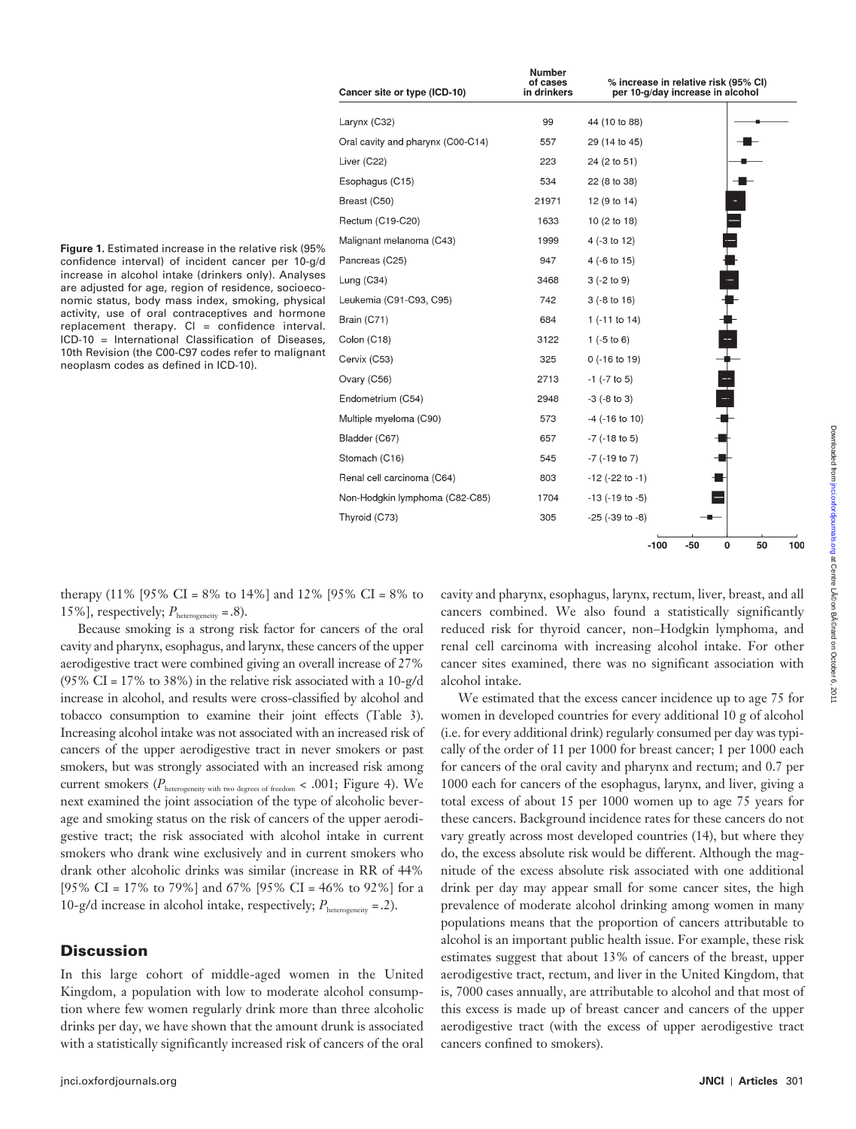|                                                                                                                                                            |             | Esophagus (  |  |
|------------------------------------------------------------------------------------------------------------------------------------------------------------|-------------|--------------|--|
|                                                                                                                                                            |             | Breast (C50) |  |
|                                                                                                                                                            |             | Rectum (C19  |  |
| <b>Figure 1.</b> Estimated increase in the relative risk (95%                                                                                              |             | Malignant me |  |
| confidence interval) of incident cancer per 10-g/d                                                                                                         |             | Pancreas (C) |  |
| increase in alcohol intake (drinkers only). Analyses<br>are adjusted for age, region of residence, socioeco-                                               |             | Lung $(C34)$ |  |
| nomic status, body mass index, smoking, physical                                                                                                           | Leukemia (C |              |  |
| activity, use of oral contraceptives and hormone<br>replacement therapy. $Cl =$ confidence interval.<br>ICD-10 = International Classification of Diseases, |             | Brain (C71)  |  |
|                                                                                                                                                            |             | Colon (C18)  |  |
| 10th Revision (the C00-C97 codes refer to malignant<br>neoplasm codes as defined in ICD-10).                                                               |             | Cervix (C53) |  |
|                                                                                                                                                            |             | $\sim$       |  |

| Cancer site or type (ICD-10)      | Number<br>of cases<br>in drinkers | % increase in relative risk (95% CI)<br>per 10-g/day increase in alcohol |
|-----------------------------------|-----------------------------------|--------------------------------------------------------------------------|
| Larynx (C32)                      | 99                                | 44 (10 to 88)                                                            |
| Oral cavity and pharynx (C00-C14) | 557                               | 29 (14 to 45)                                                            |
| Liver (C22)                       | 223                               | 24 (2 to 51)                                                             |
| Esophagus (C15)                   | 534                               | 22 (8 to 38)                                                             |
| Breast (C50)                      | 21971                             | 12 (9 to 14)                                                             |
| Rectum (C19-C20)                  | 1633                              | 10 (2 to 18)                                                             |
| Malignant melanoma (C43)          | 1999                              | 4 (-3 to 12)                                                             |
| Pancreas (C25)                    | 947                               | - 4章<br>$4(-6 to 15)$                                                    |
| Lung $(C34)$                      | 3468                              | $3(-2 to 9)$                                                             |
| Leukemia (C91-C93, C95)           | 742                               | $3(-8 to 16)$                                                            |
| Brain (C71)                       | 684                               | 1 ( $-11$ to 14)                                                         |
| Colon (C18)                       | 3122                              | -<br>8<br>8<br>8<br>8<br>$1(-5 to 6)$                                    |
| Cervix (C53)                      | 325                               | $0$ (-16 to 19)                                                          |
| Ovary (C56)                       | 2713                              | $-1$ ( $-7$ to 5)                                                        |
| Endometrium (C54)                 | 2948                              | $-3$ ( $-8$ to 3)                                                        |
| Multiple myeloma (C90)            | 573                               | $-4$ ( $-16$ to $10$ )                                                   |
| Bladder (C67)                     | 657                               | $-7$ ( $-18$ to 5)                                                       |
| Stomach (C16)                     | 545                               | $-7$ ( $-19$ to $7$ )                                                    |
| Renal cell carcinoma (C64)        | 803                               | $-12$ ( $-22$ to $-1$ )                                                  |
| Non-Hodgkin lymphoma (C82-C85)    | 1704                              | $-13$ ( $-19$ to $-5$ )                                                  |
| Thyroid (C73)                     | 305                               | $-25$ ( $-39$ to $-8$ )                                                  |
|                                   |                                   | $-100$<br>$-50$<br>50<br>0<br>10                                         |

therapy (11% [95% CI = 8% to 14%] and 12% [95% CI = 8% to 15%], respectively;  $P_{\text{heterogeneity}} = .8$ ).

Because smoking is a strong risk factor for cancers of the oral cavity and pharynx, esophagus, and larynx, these cancers of the upper aerodigestive tract were combined giving an overall increase of 27% (95% CI =  $17\%$  to 38%) in the relative risk associated with a 10-g/d increase in alcohol, and results were cross-classified by alcohol and tobacco consumption to examine their joint effects (Table 3). Increasing alcohol intake was not associated with an increased risk of cancers of the upper aerodigestive tract in never smokers or past smokers, but was strongly associated with an increased risk among current smokers ( $P_{\text{heterogeneity with two degrees of freedom}} < .001;$  Figure 4). We next examined the joint association of the type of alcoholic beverage and smoking status on the risk of cancers of the upper aerodigestive tract; the risk associated with alcohol intake in current smokers who drank wine exclusively and in current smokers who drank other alcoholic drinks was similar (increase in RR of 44% [95% CI = 17% to 79%] and 67% [95% CI = 46% to 92%] for a 10-g/d increase in alcohol intake, respectively;  $P_{\text{heterogeneity}} = .2$ ).

# **Discussion**

In this large cohort of middle-aged women in the United Kingdom, a population with low to moderate alcohol consumption where few women regularly drink more than three alcoholic drinks per day, we have shown that the amount drunk is associated with a statistically significantly increased risk of cancers of the oral

cavity and pharynx, esophagus, larynx, rectum, liver, breast, and all cancers combined. We also found a statistically significantly reduced risk for thyroid cancer, non-Hodgkin lymphoma, and renal cell carcinoma with increasing alcohol intake. For other cancer sites examined, there was no significant association with alcohol intake.

We estimated that the excess cancer incidence up to age 75 for women in developed countries for every additional 10 g of alcohol (i.e. for every additional drink) regularly consumed per day was typically of the order of 11 per 1000 for breast cancer; 1 per 1000 each for cancers of the oral cavity and pharynx and rectum; and 0.7 per 1000 each for cancers of the esophagus, larynx, and liver, giving a total excess of about 15 per 1000 women up to age 75 years for these cancers. Background incidence rates for these cancers do not vary greatly across most developed countries (14), but where they do, the excess absolute risk would be different. Although the magnitude of the excess absolute risk associated with one additional drink per day may appear small for some cancer sites, the high prevalence of moderate alcohol drinking among women in many populations means that the proportion of cancers attributable to alcohol is an important public health issue. For example, these risk estimates suggest that about 13% of cancers of the breast, upper aerodigestive tract, rectum, and liver in the United Kingdom, that is, 7000 cases annually, are attributable to alcohol and that most of this excess is made up of breast cancer and cancers of the upper aerodigestive tract (with the excess of upper aerodigestive tract cancers confined to smokers).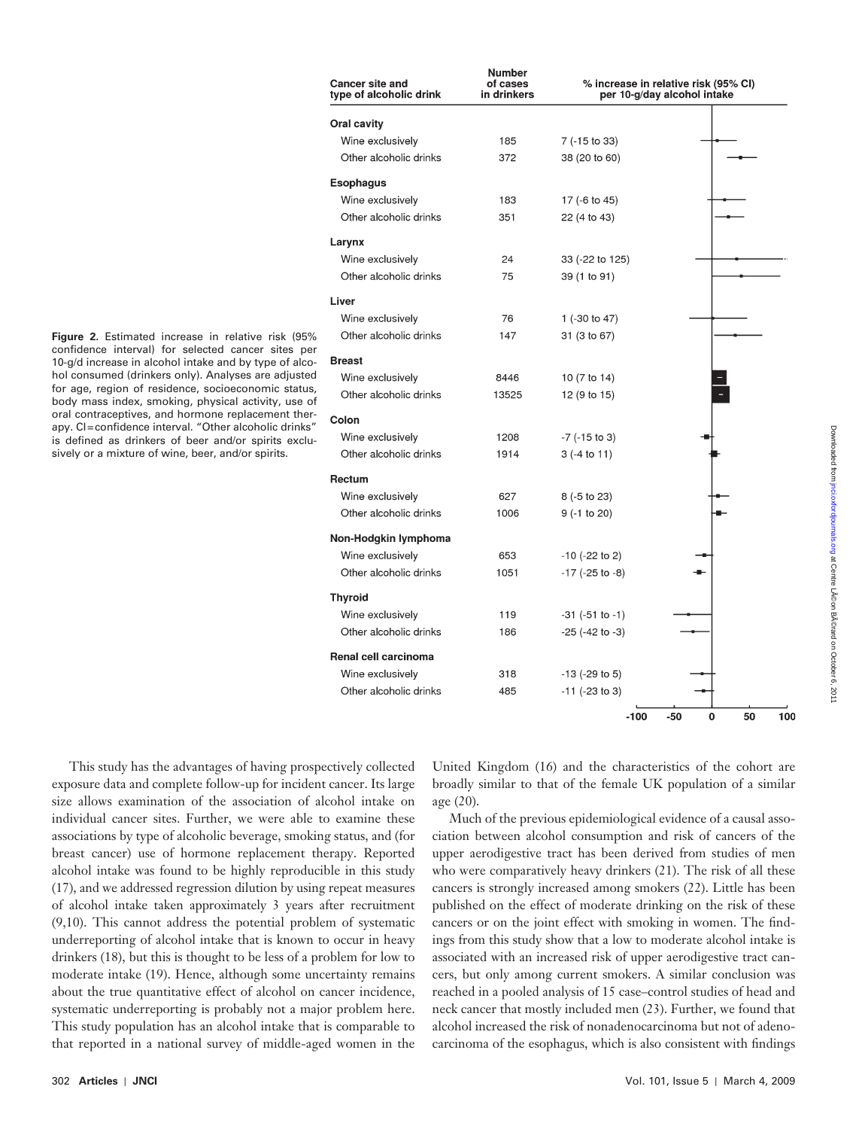| <b>Cancer site and</b><br>type of alcoholic drink | of cases<br>in drinkers | % increase in relative risk (95% CI)<br>per 10-g/day alcohol intake |                |  |  |  |
|---------------------------------------------------|-------------------------|---------------------------------------------------------------------|----------------|--|--|--|
| <b>Oral cavity</b>                                |                         |                                                                     |                |  |  |  |
| Wine exclusively                                  | 185                     | 7 (-15 to 33)                                                       |                |  |  |  |
| Other alcoholic drinks                            | 372                     | 38 (20 to 60)                                                       |                |  |  |  |
| <b>Esophagus</b>                                  |                         |                                                                     |                |  |  |  |
| Wine exclusively                                  | 183                     | 17 (-6 to 45)                                                       |                |  |  |  |
| Other alcoholic drinks                            | 351                     | 22 (4 to 43)                                                        |                |  |  |  |
| Larynx                                            |                         |                                                                     |                |  |  |  |
| Wine exclusively                                  | 24                      | 33 (-22 to 125)                                                     |                |  |  |  |
| Other alcoholic drinks                            | 75                      | 39 (1 to 91)                                                        |                |  |  |  |
| Liver                                             |                         |                                                                     |                |  |  |  |
| Wine exclusively                                  | 76                      | 1 (-30 to 47)                                                       |                |  |  |  |
| Other alcoholic drinks                            | 147                     | 31 (3 to 67)                                                        |                |  |  |  |
| <b>Breast</b>                                     |                         |                                                                     |                |  |  |  |
| Wine exclusively                                  | 8446                    | 10 (7 to 14)                                                        |                |  |  |  |
| Other alcoholic drinks                            | 13525                   | 12 (9 to 15)                                                        |                |  |  |  |
| Colon                                             |                         |                                                                     |                |  |  |  |
| Wine exclusively                                  | 1208                    | $-7$ ( $-15$ to 3)                                                  |                |  |  |  |
| Other alcoholic drinks                            | 1914                    | $3(-4 to 11)$                                                       |                |  |  |  |
| Rectum                                            |                         |                                                                     |                |  |  |  |
| Wine exclusively                                  | 627                     | $8(-5)$ to 23)                                                      |                |  |  |  |
| Other alcoholic drinks                            | 1006                    | $9(-1)$ to 20)                                                      |                |  |  |  |
| Non-Hodgkin lymphoma                              |                         |                                                                     |                |  |  |  |
| Wine exclusively                                  | 653                     | $-10$ ( $-22$ to 2)                                                 |                |  |  |  |
| Other alcoholic drinks                            | 1051                    | $-17$ ( $-25$ to $-8$ )                                             |                |  |  |  |
| <b>Thyroid</b>                                    |                         |                                                                     |                |  |  |  |
| Wine exclusively                                  | 119                     | $-31$ ( $-51$ to $-1$ )                                             |                |  |  |  |
| Other alcoholic drinks                            | 186                     | $-25$ ( $-42$ to $-3$ )                                             |                |  |  |  |
| Renal cell carcinoma                              |                         |                                                                     |                |  |  |  |
| Wine exclusively                                  | 318                     | $-13$ ( $-29$ to 5)                                                 |                |  |  |  |
| Other alcoholic drinks                            | 485                     | $-11$ ( $-23$ to 3)                                                 |                |  |  |  |
|                                                   |                         | $-100$                                                              | -50<br>0<br>50 |  |  |  |
|                                                   |                         |                                                                     |                |  |  |  |

**Number** 

Figure 2. Estimated increase in relative risk (95 confidence interval) for selected cancer sites 10-g/d increase in alcohol intake and by type of a hol consumed (drinkers only). Analyses are adjusted for age, region of residence, socioeconomic status, body mass index, smoking, physical activity, use oral contraceptives, and hormone replacement the apy. CI=confidence interval. "Other alcoholic drin is defined as drinkers of beer and/or spirits exsively or a mixture of wine, beer, and/or spirits.

This study has the advantages of having proexposure data and complete follow-up for incident cancer. Its large size allows examination of the association of alcohol intake on individual cancer sites. Further, we were able to examine these associations by type of alcoholic beverage, smoking status, and (for breast cancer) use of hormone replacement therapy. Reported alcohol intake was found to be highly reproducible in this study ( 17 ), and we addressed regression dilution by using repeat measures of alcohol intake taken approximately 3 years after recruitment  $(9,10)$ . This cannot address the potential problem of systematic underreporting of alcohol intake that is known to occur in heavy drinkers (18), but this is thought to be less of a problem for low to moderate intake (19). Hence, although some uncertainty remains about the true quantitative effect of alcohol on cancer incidence, systematic underreporting is probably not a major problem here. This study population has an alcohol intake that is comparable to that reported in a national survey of middle-aged women in the

United Kingdom (16) and the characteristics of the cohort are broadly similar to that of the female UK population of a similar age  $(20)$ .

Much of the previous epidemiological evidence of a causal association between alcohol consumption and risk of cancers of the upper aerodigestive tract has been derived from studies of men who were comparatively heavy drinkers (21). The risk of all these cancers is strongly increased among smokers (22). Little has been published on the effect of moderate drinking on the risk of these cancers or on the joint effect with smoking in women. The findings from this study show that a low to moderate alcohol intake is associated with an increased risk of upper aerodigestive tract cancers, but only among current smokers. A similar conclusion was reached in a pooled analysis of 15 case – control studies of head and neck cancer that mostly included men (23). Further, we found that alcohol increased the risk of nonadenocarcinoma but not of adenocarcinoma of the esophagus, which is also consistent with findings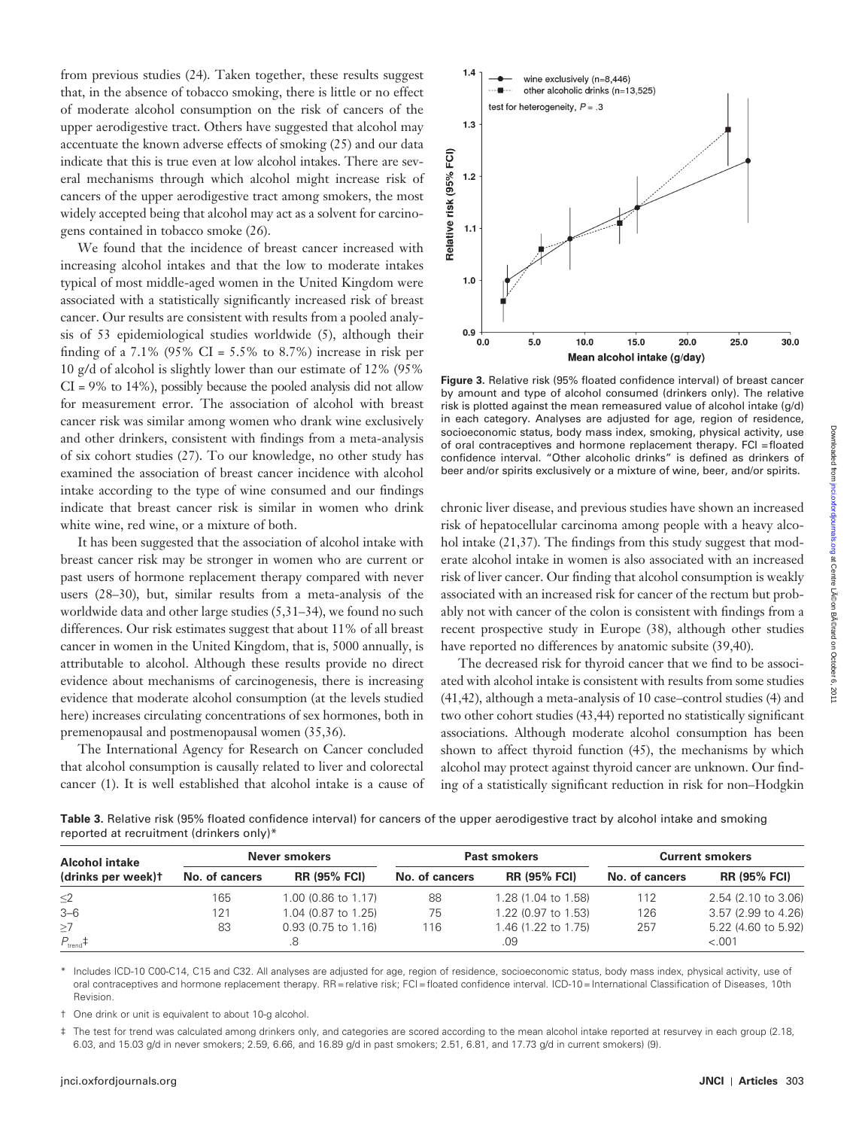from previous studies (24). Taken together, these results suggest that, in the absence of tobacco smoking, there is little or no effect of moderate alcohol consumption on the risk of cancers of the upper aerodigestive tract. Others have suggested that alcohol may accentuate the known adverse effects of smoking  $(25)$  and our data indicate that this is true even at low alcohol intakes. There are several mechanisms through which alcohol might increase risk of cancers of the upper aerodigestive tract among smokers, the most widely accepted being that alcohol may act as a solvent for carcinogens contained in tobacco smoke (26).

We found that the incidence of breast cancer increased with increasing alcohol intakes and that the low to moderate intakes typical of most middle-aged women in the United Kingdom were associated with a statistically significantly increased risk of breast cancer. Our results are consistent with results from a pooled analysis of  $53$  epidemiological studies worldwide  $(5)$ , although their finding of a 7.1% (95% CI =  $5.5\%$  to 8.7%) increase in risk per 10 g/d of alcohol is slightly lower than our estimate of 12% (95%  $CI = 9\%$  to 14%), possibly because the pooled analysis did not allow for measurement error. The association of alcohol with breast cancer risk was similar among women who drank wine exclusively and other drinkers, consistent with findings from a meta-analysis of six cohort studies (27). To our knowledge, no other study has examined the association of breast cancer incidence with alcohol intake according to the type of wine consumed and our findings indicate that breast cancer risk is similar in women who drink white wine, red wine, or a mixture of both.

It has been suggested that the association of alcohol intake with breast cancer risk may be stronger in women who are current or past users of hormone replacement therapy compared with never users (28-30), but, similar results from a meta-analysis of the worldwide data and other large studies  $(5, 31-34)$ , we found no such differences. Our risk estimates suggest that about 11% of all breast cancer in women in the United Kingdom, that is, 5000 annually, is attributable to alcohol. Although these results provide no direct evidence about mechanisms of carcinogenesis, there is increasing evidence that moderate alcohol consumption (at the levels studied here) increases circulating concentrations of sex hormones, both in premenopausal and postmenopausal women (35,36).

The International Agency for Research on Cancer concluded that alcohol consumption is causally related to liver and colorectal cancer (1). It is well established that alcohol intake is a cause of



Figure 3. Relative risk (95% floated confidence interval) of breast cancer by amount and type of alcohol consumed (drinkers only). The relative risk is plotted against the mean remeasured value of alcohol intake (g/d) in each category. Analyses are adjusted for age, region of residence, socioeconomic status, body mass index, smoking, physical activity, use of oral contraceptives and hormone replacement therapy. FCI = floated confidence interval. "Other alcoholic drinks" is defined as drinkers of beer and/or spirits exclusively or a mixture of wine, beer, and/or spirits.

chronic liver disease, and previous studies have shown an increased risk of hepatocellular carcinoma among people with a heavy alcohol intake  $(21,37)$ . The findings from this study suggest that moderate alcohol intake in women is also associated with an increased risk of liver cancer. Our finding that alcohol consumption is weakly associated with an increased risk for cancer of the rectum but probably not with cancer of the colon is consistent with findings from a recent prospective study in Europe (38), although other studies have reported no differences by anatomic subsite (39,40).

The decreased risk for thyroid cancer that we find to be associated with alcohol intake is consistent with results from some studies  $(41, 42)$ , although a meta-analysis of 10 case-control studies  $(4)$  and two other cohort studies (43,44) reported no statistically significant associations. Although moderate alcohol consumption has been shown to affect thyroid function (45), the mechanisms by which alcohol may protect against thyroid cancer are unknown. Our finding of a statistically significant reduction in risk for non-Hodgkin

**Table 3.** Relative risk (95% floated confidence interval) for cancers of the upper aerodigestive tract by alcohol intake and smoking reported at recruitment (drinkers only) \*

| Never smokers<br><b>Alcohol intake</b> |                |                       | <b>Past smokers</b> |                     |                | <b>Current smokers</b> |
|----------------------------------------|----------------|-----------------------|---------------------|---------------------|----------------|------------------------|
| (drinks per week)t                     | No. of cancers | <b>RR (95% FCI)</b>   | No. of cancers      | <b>RR (95% FCI)</b> | No. of cancers | <b>RR (95% FCI)</b>    |
| $\leq$ 2                               | 165            | 1.00 (0.86 to 1.17)   | 88                  | 1.28 (1.04 to 1.58) | 112            | 2.54 (2.10 to 3.06)    |
| $3 - 6$                                | 121            | 1.04 (0.87 to 1.25)   | 75                  | 1.22 (0.97 to 1.53) | 126            | 3.57 (2.99 to 4.26)    |
| $\geq$ 7                               | 83             | $0.93(0.75)$ to 1.16) | 116                 | 1.46 (1.22 to 1.75) | 257            | 5.22 (4.60 to 5.92)    |
| $P_{\text{trend}}$ #                   |                |                       |                     | .09                 |                | < .001                 |

Includes ICD-10 C00-C14, C15 and C32. All analyses are adjusted for age, region of residence, socioeconomic status, body mass index, physical activity, use of oral contraceptives and hormone replacement therapy. RR = relative risk; FCI = floated confidence interval. ICD-10 = International Classification of Diseases, 10th Revision.

† One drink or unit is equivalent to about 10-g alcohol.

The test for trend was calculated among drinkers only, and categories are scored according to the mean alcohol intake reported at resurvey in each group (2.18, 6.03, and 15.03 g/d in never smokers; 2.59, 6.66, and 16.89 g/d in past smokers; 2.51, 6.81, and 17.73 g/d in current smokers) (9).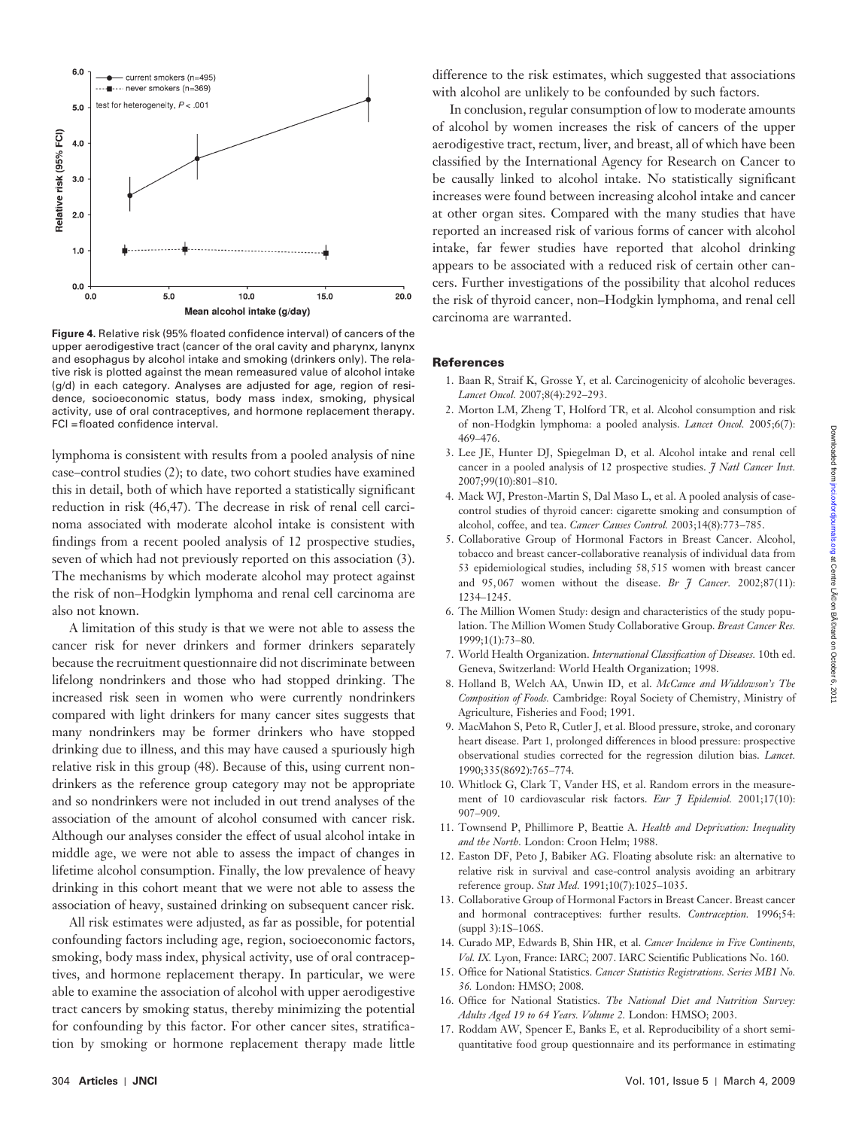

Figure 4. Relative risk (95% floated confidence interval) of cancers of the upper aerodigestive tract (cancer of the oral cavity and pharynx, lanynx and esophagus by alcohol intake and smoking (drinkers only). The relative risk is plotted against the mean remeasured value of alcohol intake (g/d) in each category. Analyses are adjusted for age, region of residence, socioeconomic status, body mass index, smoking, physical activity, use of oral contraceptives, and hormone replacement therapy. FCI = floated confidence interval.

lymphoma is consistent with results from a pooled analysis of nine case–control studies (2); to date, two cohort studies have examined this in detail, both of which have reported a statistically significant reduction in risk (46,47). The decrease in risk of renal cell carcinoma associated with moderate alcohol intake is consistent with findings from a recent pooled analysis of 12 prospective studies, seven of which had not previously reported on this association (3). The mechanisms by which moderate alcohol may protect against the risk of non-Hodgkin lymphoma and renal cell carcinoma are also not known.

A limitation of this study is that we were not able to assess the cancer risk for never drinkers and former drinkers separately because the recruitment questionnaire did not discriminate between lifelong nondrinkers and those who had stopped drinking. The increased risk seen in women who were currently nondrinkers compared with light drinkers for many cancer sites suggests that many nondrinkers may be former drinkers who have stopped drinking due to illness, and this may have caused a spuriously high relative risk in this group (48). Because of this, using current nondrinkers as the reference group category may not be appropriate and so nondrinkers were not included in out trend analyses of the association of the amount of alcohol consumed with cancer risk. Although our analyses consider the effect of usual alcohol intake in middle age, we were not able to assess the impact of changes in lifetime alcohol consumption. Finally, the low prevalence of heavy drinking in this cohort meant that we were not able to assess the association of heavy, sustained drinking on subsequent cancer risk.

All risk estimates were adjusted, as far as possible, for potential confounding factors including age, region, socioeconomic factors, smoking, body mass index, physical activity, use of oral contraceptives, and hormone replacement therapy. In particular, we were able to examine the association of alcohol with upper aerodigestive tract cancers by smoking status, thereby minimizing the potential for confounding by this factor. For other cancer sites, stratification by smoking or hormone replacement therapy made little difference to the risk estimates, which suggested that associations with alcohol are unlikely to be confounded by such factors.

In conclusion, regular consumption of low to moderate amounts of alcohol by women increases the risk of cancers of the upper aerodigestive tract, rectum, liver, and breast, all of which have been classified by the International Agency for Research on Cancer to be causally linked to alcohol intake. No statistically significant increases were found between increasing alcohol intake and cancer at other organ sites. Compared with the many studies that have reported an increased risk of various forms of cancer with alcohol intake, far fewer studies have reported that alcohol drinking appears to be associated with a reduced risk of certain other cancers. Further investigations of the possibility that alcohol reduces the risk of thyroid cancer, non – Hodgkin lymphoma, and renal cell carcinoma are warranted.

#### **References**

- 1. Baan R, Straif K, Grosse Y, et al. Carcinogenicity of alcoholic beverages. Lancet Oncol. 2007;8(4):292-293.
- 2. Morton LM, Zheng T, Holford TR, et al. Alcohol consumption and risk of non-Hodgkin lymphoma: a pooled analysis. *Lancet Oncol*. 2005;6(7): 469-476.
- 3. Lee JE, Hunter DJ, Spiegelman D, et al. Alcohol intake and renal cell cancer in a pooled analysis of 12 prospective studies. *J Natl Cancer Inst.* 2007;99(10):801-810.
- 4. Mack WJ, Preston-Martin S, Dal Maso L, et al. A pooled analysis of casecontrol studies of thyroid cancer: cigarette smoking and consumption of alcohol, coffee, and tea. *Cancer Causes Control.* 2003;14(8):773-785.
- 5. Collaborative Group of Hormonal Factors in Breast Cancer . Alcohol, tobacco and breast cancer-collaborative reanalysis of individual data from 53 epidemiological studies, including 58, 515 women with breast cancer and 95,067 women without the disease. *Br J Cancer*. 2002;87(11): 1234-1245.
- 6. The Million Women Study: design and characteristics of the study population. The Million Women Study Collaborative Group. *Breast Cancer Res.*  $1999:1(1):73-80.$
- 7. World Health Organization. *International Classification of Diseases*. 10th ed. Geneva, Switzerland: World Health Organization; 1998.
- 8. Holland B, Welch AA, Unwin ID, et al. *McCance and Widdowson's The Composition of Foods.* Cambridge: Royal Society of Chemistry, Ministry of Agriculture, Fisheries and Food; 1991.
- 9. MacMahon S, Peto R, Cutler J, et al. Blood pressure, stroke, and coronary heart disease. Part 1, prolonged differences in blood pressure: prospective observational studies corrected for the regression dilution bias. *Lancet*. 1990;335(8692):765-774.
- 10. Whitlock G, Clark T, Vander HS, et al. Random errors in the measurement of 10 cardiovascular risk factors. *Eur J Epidemiol.* 2001;17(10): 907-909.
- 11. Townsend P, Phillimore P, Beattie A. *Health and Deprivation: Inequality* and the North. London: Croon Helm; 1988.
- 12. Easton DF, Peto J, Babiker AG. Floating absolute risk: an alternative to relative risk in survival and case-control analysis avoiding an arbitrary reference group. Stat Med. 1991;10(7):1025-1035.
- 13. Collaborative Group of Hormonal Factors in Breast Cancer . Breast cancer and hormonal contraceptives: further results. *Contraception*. 1996;54: (suppl 3):1S-106S.
- 14. Curado MP, Edwards B, Shin HR, et al. *Cancer Incidence in Five Continents*, Vol. IX. Lyon, France: IARC; 2007. IARC Scientific Publications No. 160.
- 15. Office for National Statistics. *Cancer Statistics Registrations*. Series MB1 No. 36. London: HMSO; 2008.
- 16. Office for National Statistics. The National Diet and Nutrition Survey: Adults Aged 19 to 64 Years. Volume 2. London: HMSO; 2003.
- 17. Roddam AW, Spencer E, Banks E, et al. Reproducibility of a short semiquantitative food group questionnaire and its performance in estimating